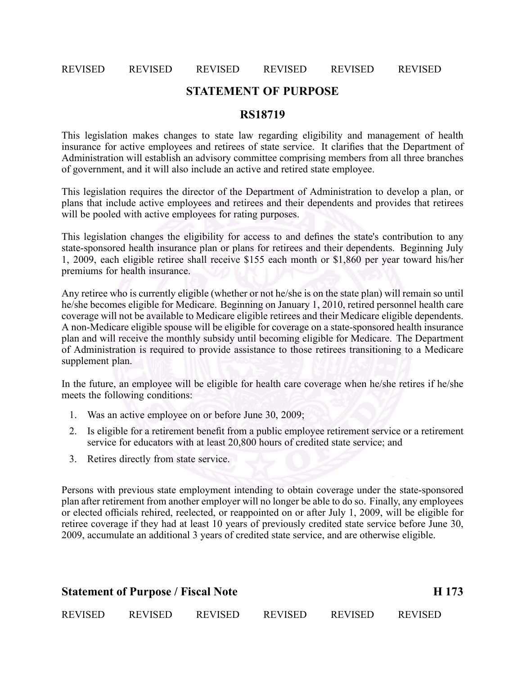### REVISED REVISED REVISED REVISED REVISED REVISED

## **STATEMENT OF PURPOSE**

## **RS18719**

This legislation makes changes to state law regarding eligibility and managemen<sup>t</sup> of health insurance for active employees and retirees of state service. It clarifies that the Department of Administration will establish an advisory committee comprising members from all three branches of government, and it will also include an active and retired state employee.

This legislation requires the director of the Department of Administration to develop <sup>a</sup> plan, or plans that include active employees and retirees and their dependents and provides that retirees will be pooled with active employees for rating purposes.

This legislation changes the eligibility for access to and defines the state's contribution to any state-sponsored health insurance plan or plans for retirees and their dependents. Beginning July 1, 2009, each eligible retiree shall receive \$155 each month or \$1,860 per year toward his/her premiums for health insurance.

Any retiree who is currently eligible (whether or not he/she is on the state plan) will remain so until he/she becomes eligible for Medicare. Beginning on January 1, 2010, retired personnel health care coverage will not be available to Medicare eligible retirees and their Medicare eligible dependents. A non-Medicare eligible spouse will be eligible for coverage on a state-sponsored health insurance plan and will receive the monthly subsidy until becoming eligible for Medicare. The Department of Administration is required to provide assistance to those retirees transitioning to <sup>a</sup> Medicare supplement plan.

In the future, an employee will be eligible for health care coverage when he/she retires if he/she meets the following conditions:

- 1. Was an active employee on or before June 30, 2009;
- 2. Is eligible for <sup>a</sup> retirement benefit from <sup>a</sup> public employee retirement service or <sup>a</sup> retirement service for educators with at least 20,800 hours of credited state service; and
- 3. Retires directly from state service.

Persons with previous state employment intending to obtain coverage under the state-sponsored plan after retirement from another employer will no longer be able to do so. Finally, any employees or elected officials rehired, reelected, or reappointed on or after July 1, 2009, will be eligible for retiree coverage if they had at least 10 years of previously credited state service before June 30, 2009, accumulate an additional 3 years of credited state service, and are otherwise eligible.

| <b>Statement of Purpose / Fiscal Note</b> |                |                |                |         | H 173          |
|-------------------------------------------|----------------|----------------|----------------|---------|----------------|
| <b>REVISED</b>                            | <b>REVISED</b> | <b>REVISED</b> | <b>REVISED</b> | REVISED | <b>REVISED</b> |